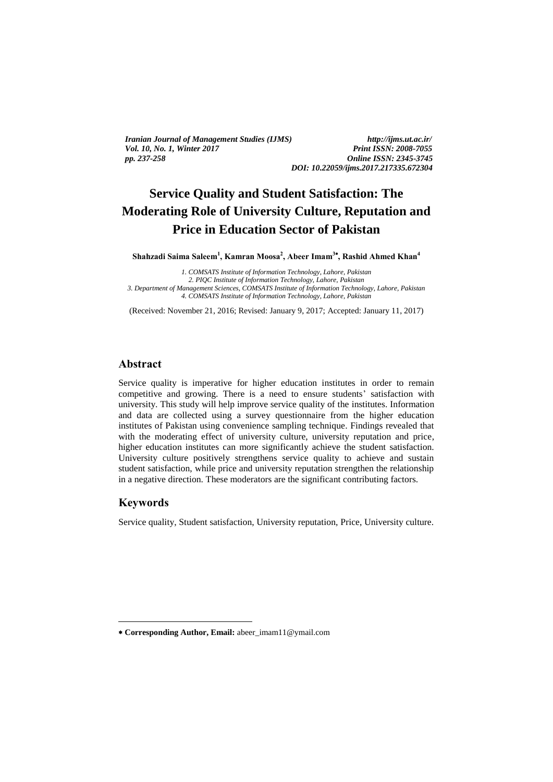*Iranian Journal of Management Studies (IJMS) http://ijms.ut.ac.ir/ Vol. 10, No. 1, Winter 2017*<br>pp. 237-258

*pp. 237-258 Online ISSN: 2345-3745 DOI: 10.22059/ijms.2017.217335.672304*

# **Service Quality and Student Satisfaction: The Moderating Role of University Culture, Reputation and Price in Education Sector of Pakistan**

**Shahzadi Saima Saleem<sup>1</sup> , Kamran Moosa<sup>2</sup> , Abeer Imam<sup>3</sup> , Rashid Ahmed Khan<sup>4</sup>**

*1. COMSATS Institute of Information Technology, Lahore, Pakistan 2. PIQC Institute of Information Technology, Lahore, Pakistan 3. Department of Management Sciences, COMSATS Institute of Information Technology, Lahore, Pakistan 4. COMSATS Institute of Information Technology, Lahore, Pakistan*

(Received: November 21, 2016; Revised: January 9, 2017; Accepted: January 11, 2017)

#### **Abstract**

Service quality is imperative for higher education institutes in order to remain competitive and growing. There is a need to ensure students' satisfaction with university. This study will help improve service quality of the institutes. Information and data are collected using a survey questionnaire from the higher education institutes of Pakistan using convenience sampling technique. Findings revealed that with the moderating effect of university culture, university reputation and price, higher education institutes can more significantly achieve the student satisfaction. University culture positively strengthens service quality to achieve and sustain student satisfaction, while price and university reputation strengthen the relationship in a negative direction. These moderators are the significant contributing factors.

#### **Keywords**

<u>.</u>

Service quality, Student satisfaction, University reputation, Price, University culture.

**Corresponding Author, Email:** abeer\_imam11@ymail.com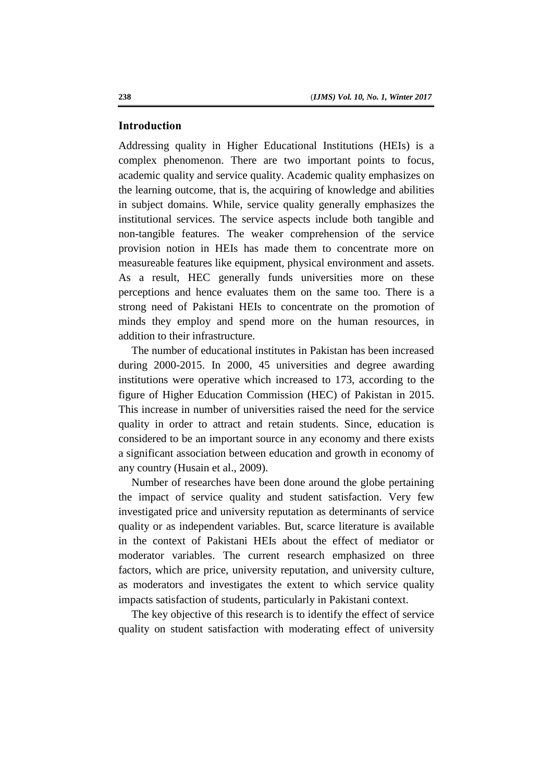#### **Introduction**

Addressing quality in Higher Educational Institutions (HEIs) is a complex phenomenon. There are two important points to focus, academic quality and service quality. Academic quality emphasizes on the learning outcome, that is, the acquiring of knowledge and abilities in subject domains. While, service quality generally emphasizes the institutional services. The service aspects include both tangible and non-tangible features. The weaker comprehension of the service provision notion in HEIs has made them to concentrate more on measureable features like equipment, physical environment and assets. As a result, HEC generally funds universities more on these perceptions and hence evaluates them on the same too. There is a strong need of Pakistani HEIs to concentrate on the promotion of minds they employ and spend more on the human resources, in addition to their infrastructure.

The number of educational institutes in Pakistan has been increased during 2000-2015. In 2000, 45 universities and degree awarding institutions were operative which increased to 173, according to the figure of Higher Education Commission (HEC) of Pakistan in 2015. This increase in number of universities raised the need for the service quality in order to attract and retain students. Since, education is considered to be an important source in any economy and there exists a significant association between education and growth in economy of any country (Husain et al., 2009).

Number of researches have been done around the globe pertaining the impact of service quality and student satisfaction. Very few investigated price and university reputation as determinants of service quality or as independent variables. But, scarce literature is available in the context of Pakistani HEIs about the effect of mediator or moderator variables. The current research emphasized on three factors, which are price, university reputation, and university culture, as moderators and investigates the extent to which service quality impacts satisfaction of students, particularly in Pakistani context.

The key objective of this research is to identify the effect of service quality on student satisfaction with moderating effect of university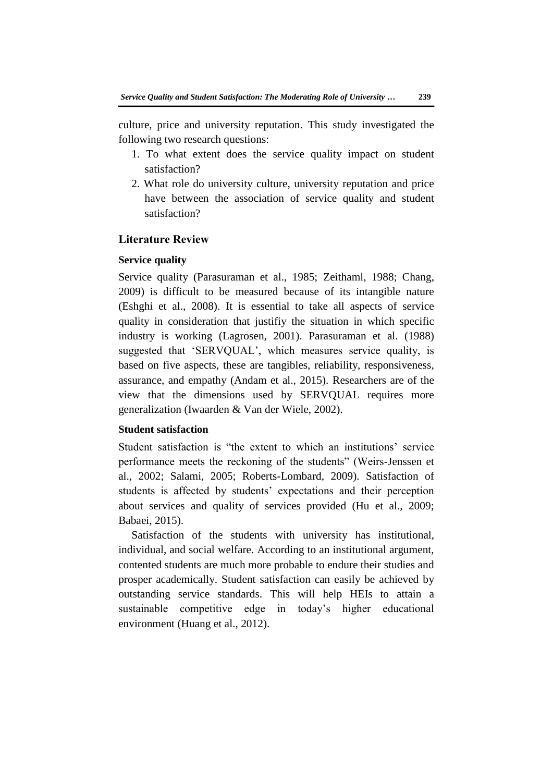culture, price and university reputation. This study investigated the following two research questions:

- 1. To what extent does the service quality impact on student satisfaction?
- 2. What role do university culture, university reputation and price have between the association of service quality and student satisfaction?

# **Literature Review**

# **Service quality**

Service quality (Parasuraman et al., 1985; Zeithaml, 1988; Chang, 2009) is difficult to be measured because of its intangible nature (Eshghi et al., 2008). It is essential to take all aspects of service quality in consideration that justifiy the situation in which specific industry is working (Lagrosen, 2001). Parasuraman et al. (1988) suggested that 'SERVQUAL', which measures service quality, is based on five aspects, these are tangibles, reliability, responsiveness, assurance, and empathy (Andam et al., 2015). Researchers are of the view that the dimensions used by SERVQUAL requires more generalization (Iwaarden & Van der Wiele, 2002).

#### **Student satisfaction**

Student satisfaction is "the extent to which an institutions' service performance meets the reckoning of the students" (Weirs-Jenssen et al., 2002; Salami, 2005; Roberts-Lombard, 2009). Satisfaction of students is affected by students' expectations and their perception about services and quality of services provided (Hu et al., 2009; Babaei, 2015).

Satisfaction of the students with university has institutional, individual, and social welfare. According to an institutional argument, contented students are much more probable to endure their studies and prosper academically. Student satisfaction can easily be achieved by outstanding service standards. This will help HEIs to attain a sustainable competitive edge in today's higher educational environment (Huang et al., 2012).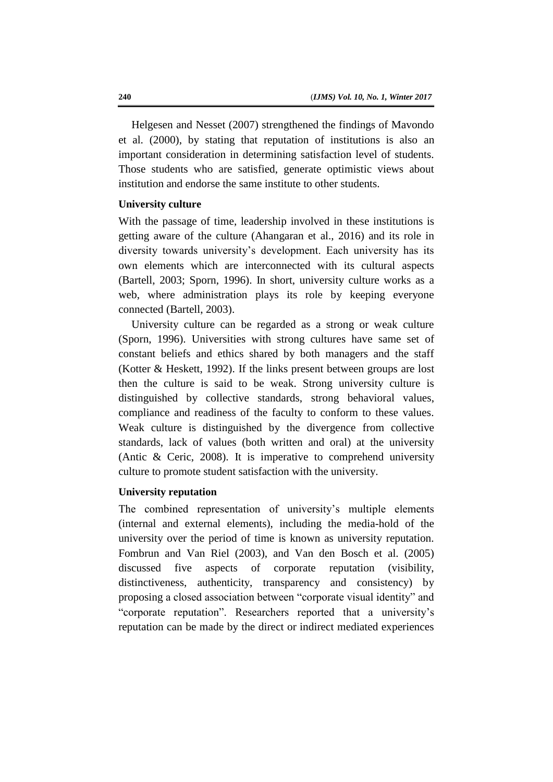Helgesen and Nesset (2007) strengthened the findings of Mavondo et al. (2000), by stating that reputation of institutions is also an important consideration in determining satisfaction level of students. Those students who are satisfied, generate optimistic views about institution and endorse the same institute to other students.

#### **University culture**

With the passage of time, leadership involved in these institutions is getting aware of the culture (Ahangaran et al., 2016) and its role in diversity towards university's development. Each university has its own elements which are interconnected with its cultural aspects (Bartell, 2003; Sporn, 1996). In short, university culture works as a web, where administration plays its role by keeping everyone connected (Bartell, 2003).

University culture can be regarded as a strong or weak culture (Sporn, 1996). Universities with strong cultures have same set of constant beliefs and ethics shared by both managers and the staff (Kotter & Heskett, 1992). If the links present between groups are lost then the culture is said to be weak. Strong university culture is distinguished by collective standards, strong behavioral values, compliance and readiness of the faculty to conform to these values. Weak culture is distinguished by the divergence from collective standards, lack of values (both written and oral) at the university (Antic & Ceric, 2008). It is imperative to comprehend university culture to promote student satisfaction with the university.

#### **University reputation**

The combined representation of university's multiple elements (internal and external elements), including the media-hold of the university over the period of time is known as university reputation. Fombrun and Van Riel (2003), and Van den Bosch et al. (2005) discussed five aspects of corporate reputation (visibility, distinctiveness, authenticity, transparency and consistency) by proposing a closed association between "corporate visual identity" and "corporate reputation". Researchers reported that a university's reputation can be made by the direct or indirect mediated experiences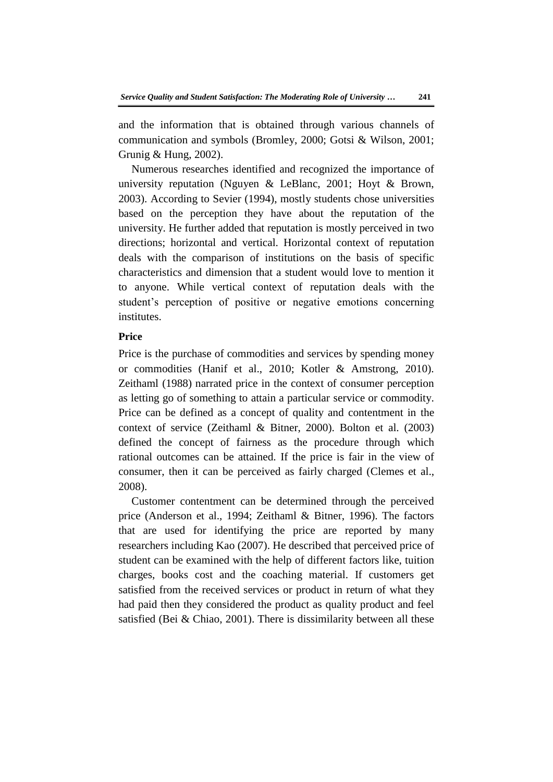and the information that is obtained through various channels of communication and symbols (Bromley, 2000; Gotsi & Wilson, 2001; Grunig & Hung, 2002).

Numerous researches identified and recognized the importance of university reputation (Nguyen & LeBlanc, 2001; Hoyt & Brown, 2003). According to Sevier (1994), mostly students chose universities based on the perception they have about the reputation of the university. He further added that reputation is mostly perceived in two directions; horizontal and vertical. Horizontal context of reputation deals with the comparison of institutions on the basis of specific characteristics and dimension that a student would love to mention it to anyone. While vertical context of reputation deals with the student's perception of positive or negative emotions concerning institutes.

#### **Price**

Price is the purchase of commodities and services by spending money or commodities (Hanif et al., 2010; Kotler & Amstrong, 2010). Zeithaml (1988) narrated price in the context of consumer perception as letting go of something to attain a particular service or commodity. Price can be defined as a concept of quality and contentment in the context of service (Zeithaml & Bitner, 2000). Bolton et al. (2003) defined the concept of fairness as the procedure through which rational outcomes can be attained. If the price is fair in the view of consumer, then it can be perceived as fairly charged (Clemes et al., 2008).

Customer contentment can be determined through the perceived price (Anderson et al., 1994; Zeithaml & Bitner, 1996). The factors that are used for identifying the price are reported by many researchers including Kao (2007). He described that perceived price of student can be examined with the help of different factors like, tuition charges, books cost and the coaching material. If customers get satisfied from the received services or product in return of what they had paid then they considered the product as quality product and feel satisfied (Bei & Chiao, 2001). There is dissimilarity between all these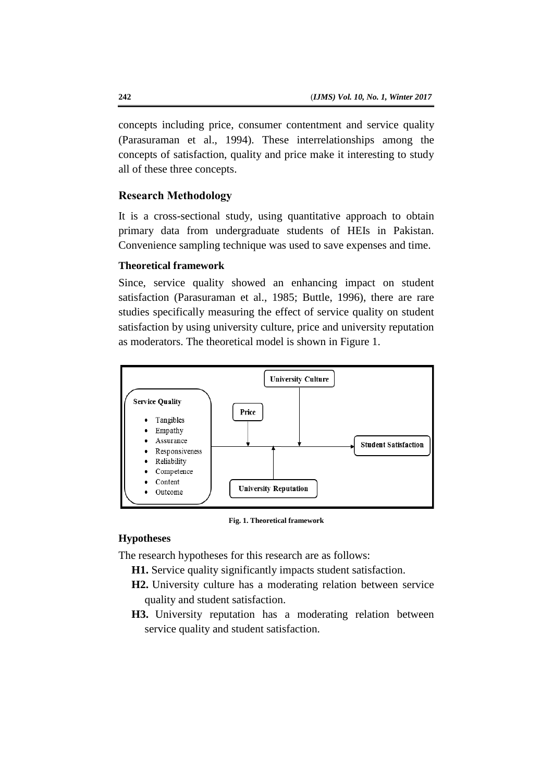concepts including price, consumer contentment and service quality (Parasuraman et al., 1994). These interrelationships among the concepts of satisfaction, quality and price make it interesting to study all of these three concepts.

### **Research Methodology**

It is a cross-sectional study, using quantitative approach to obtain primary data from undergraduate students of HEIs in Pakistan. Convenience sampling technique was used to save expenses and time.

# **Theoretical framework**

Since, service quality showed an enhancing impact on student satisfaction (Parasuraman et al., 1985; Buttle, 1996), there are rare studies specifically measuring the effect of service quality on student satisfaction by using university culture, price and university reputation as moderators. The theoretical model is shown in Figure 1.



**Fig. 1. Theoretical framework**

#### **Hypotheses**

The research hypotheses for this research are as follows:

- **H1.** Service quality significantly impacts student satisfaction.
- **H2.** University culture has a moderating relation between service quality and student satisfaction.
- **H3.** University reputation has a moderating relation between service quality and student satisfaction.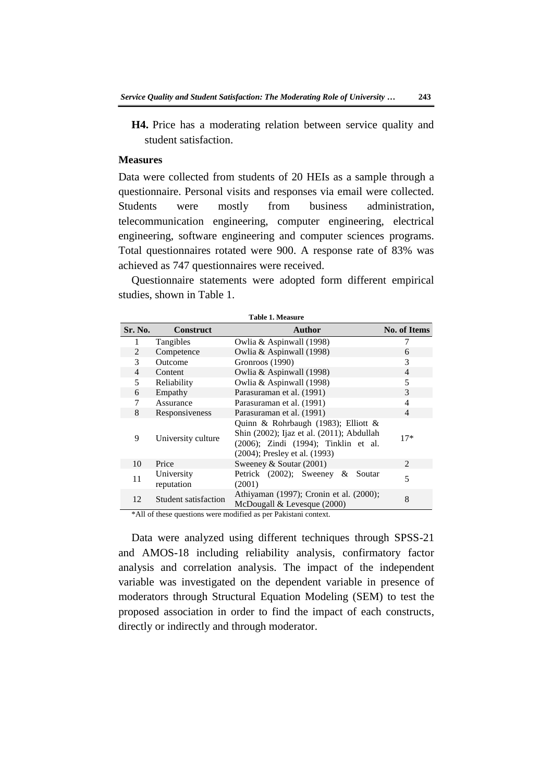**H4.** Price has a moderating relation between service quality and student satisfaction.

# **Measures**

Data were collected from students of 20 HEIs as a sample through a questionnaire. Personal visits and responses via email were collected. Students were mostly from business administration, telecommunication engineering, computer engineering, electrical engineering, software engineering and computer sciences programs. Total questionnaires rotated were 900. A response rate of 83% was achieved as 747 questionnaires were received.

Questionnaire statements were adopted form different empirical studies, shown in Table 1.

| <b>Table 1. Measure</b> |                          |                                                                                                                                                            |                     |  |  |  |  |
|-------------------------|--------------------------|------------------------------------------------------------------------------------------------------------------------------------------------------------|---------------------|--|--|--|--|
| Sr. No.                 | <b>Construct</b>         | <b>Author</b>                                                                                                                                              | <b>No. of Items</b> |  |  |  |  |
|                         | Tangibles                | Owlia & Aspinwall (1998)                                                                                                                                   | 7                   |  |  |  |  |
| 2                       | Competence               | Owlia & Aspinwall (1998)                                                                                                                                   | 6                   |  |  |  |  |
| 3                       | Outcome                  | Gronroos (1990)                                                                                                                                            | 3                   |  |  |  |  |
| $\overline{4}$          | Content                  | Owlia & Aspinwall (1998)                                                                                                                                   | $\overline{4}$      |  |  |  |  |
| 5                       | Reliability              | Owlia & Aspinwall (1998)                                                                                                                                   | 5                   |  |  |  |  |
| 6                       | Empathy                  | Parasuraman et al. (1991)                                                                                                                                  | 3                   |  |  |  |  |
| 7                       | Assurance                | Parasuraman et al. (1991)                                                                                                                                  | $\overline{4}$      |  |  |  |  |
| 8                       | Responsiveness           | Parasuraman et al. (1991)                                                                                                                                  | $\overline{4}$      |  |  |  |  |
| 9                       | University culture       | Quinn & Rohrbaugh (1983); Elliott &<br>Shin (2002); Ijaz et al. (2011); Abdullah<br>(2006); Zindi (1994); Tinklin et al.<br>(2004); Presley et al. (1993)  | $17*$               |  |  |  |  |
| 10                      | Price                    | Sweeney & Soutar (2001)                                                                                                                                    | $\mathfrak{D}$      |  |  |  |  |
| 11                      | University<br>reputation | Petrick (2002); Sweeney & Soutar<br>(2001)                                                                                                                 | 5                   |  |  |  |  |
| 12                      | Student satisfaction     | Athiyaman (1997); Cronin et al. (2000);<br>McDougall & Levesque (2000)<br>$\mathbf{r}$ and $\mathbf{r}$ and $\mathbf{r}$ and $\mathbf{r}$ and $\mathbf{r}$ | 8                   |  |  |  |  |

\*All of these questions were modified as per Pakistani context.

Data were analyzed using different techniques through SPSS-21 and AMOS-18 including reliability analysis, confirmatory factor analysis and correlation analysis. The impact of the independent variable was investigated on the dependent variable in presence of moderators through Structural Equation Modeling (SEM) to test the proposed association in order to find the impact of each constructs, directly or indirectly and through moderator.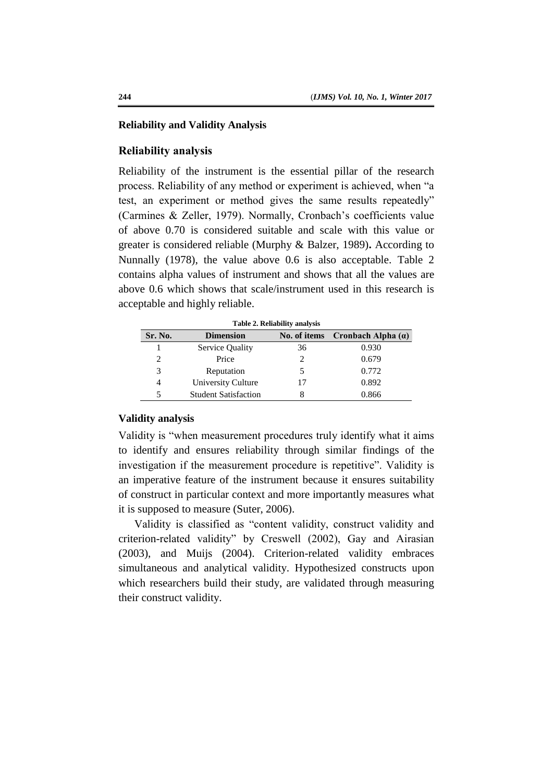#### **Reliability and Validity Analysis**

#### **Reliability analysis**

Reliability of the instrument is the essential pillar of the research process. Reliability of any method or experiment is achieved, when "a test, an experiment or method gives the same results repeatedly" (Carmines & Zeller, 1979). Normally, Cronbach's coefficients value of above 0.70 is considered suitable and scale with this value or greater is considered reliable (Murphy & Balzer, 1989)**.** According to Nunnally (1978), the value above 0.6 is also acceptable. Table 2 contains alpha values of instrument and shows that all the values are above 0.6 which shows that scale/instrument used in this research is acceptable and highly reliable.

| <b>Table 2. Reliability analysis</b> |                             |              |                      |  |  |  |  |  |
|--------------------------------------|-----------------------------|--------------|----------------------|--|--|--|--|--|
| Sr. No.                              | <b>Dimension</b>            | No. of items | Cronbach Alpha $(a)$ |  |  |  |  |  |
|                                      | <b>Service Quality</b>      | 36           | 0.930                |  |  |  |  |  |
| $\mathcal{D}_{\mathcal{A}}$          | Price                       | 2            | 0.679                |  |  |  |  |  |
| 3                                    | Reputation                  |              | 0.772                |  |  |  |  |  |
| 4                                    | <b>University Culture</b>   | 17           | 0.892                |  |  |  |  |  |
|                                      | <b>Student Satisfaction</b> | 8            | 0.866                |  |  |  |  |  |

#### **Validity analysis**

Validity is "when measurement procedures truly identify what it aims to identify and ensures reliability through similar findings of the investigation if the measurement procedure is repetitive". Validity is an imperative feature of the instrument because it ensures suitability of construct in particular context and more importantly measures what it is supposed to measure (Suter, 2006).

Validity is classified as "content validity, construct validity and criterion-related validity" by Creswell (2002), Gay and Airasian (2003), and Muijs (2004). Criterion-related validity embraces simultaneous and analytical validity. Hypothesized constructs upon which researchers build their study, are validated through measuring their construct validity.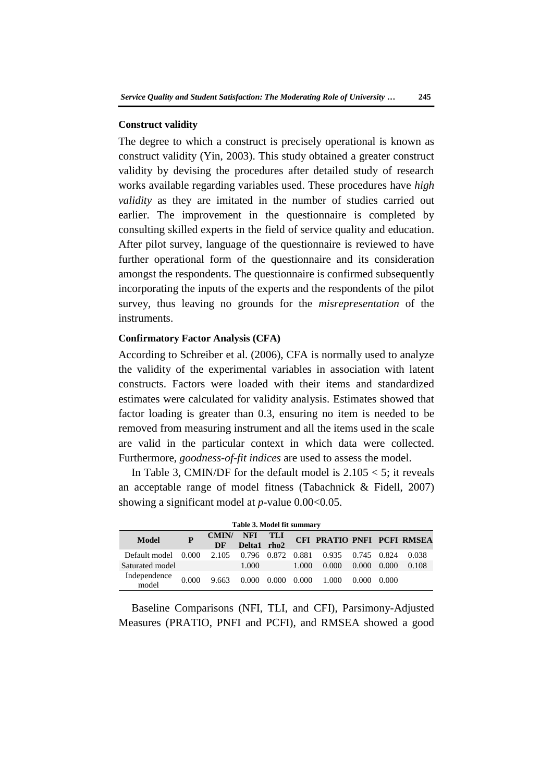#### **Construct validity**

The degree to which a construct is precisely operational is known as construct validity (Yin, 2003). This study obtained a greater construct validity by devising the procedures after detailed study of research works available regarding variables used. These procedures have *high validity* as they are imitated in the number of studies carried out earlier. The improvement in the questionnaire is completed by consulting skilled experts in the field of service quality and education. After pilot survey, language of the questionnaire is reviewed to have further operational form of the questionnaire and its consideration amongst the respondents. The questionnaire is confirmed subsequently incorporating the inputs of the experts and the respondents of the pilot survey, thus leaving no grounds for the *misrepresentation* of the instruments.

#### **Confirmatory Factor Analysis (CFA)**

According to Schreiber et al. (2006), CFA is normally used to analyze the validity of the experimental variables in association with latent constructs. Factors were loaded with their items and standardized estimates were calculated for validity analysis. Estimates showed that factor loading is greater than 0.3, ensuring no item is needed to be removed from measuring instrument and all the items used in the scale are valid in the particular context in which data were collected. Furthermore, *goodness-of-fit indices* are used to assess the model.

In Table 3, CMIN/DF for the default model is  $2.105 < 5$ ; it reveals an acceptable range of model fitness (Tabachnick & Fidell, 2007) showing a significant model at *p*-value 0.00<0.05.

| Table 3. Model fit summary |       |                    |                    |            |       |                            |             |       |       |
|----------------------------|-------|--------------------|--------------------|------------|-------|----------------------------|-------------|-------|-------|
| Model                      |       | <b>CMIN/</b><br>DF | NFI<br>Delta1 rho2 | <b>TLI</b> |       | CFI PRATIO PNFI PCFI RMSEA |             |       |       |
| Default model              | 0.000 | 2.105              | 0.796              | 0.872      | 0.881 | 0.935                      | 0.745 0.824 |       | 0.038 |
| Saturated model            |       |                    | 1.000              |            | 1.000 | 0.000                      | 0.000       | 0.000 | 0.108 |
| Independence<br>model      | 0.000 | 9.663              | 0.000              | 0.000      | 0.000 | 1.000                      | 0.000       | 0.000 |       |

Baseline Comparisons (NFI, TLI, and CFI), Parsimony-Adjusted Measures (PRATIO, PNFI and PCFI), and RMSEA showed a good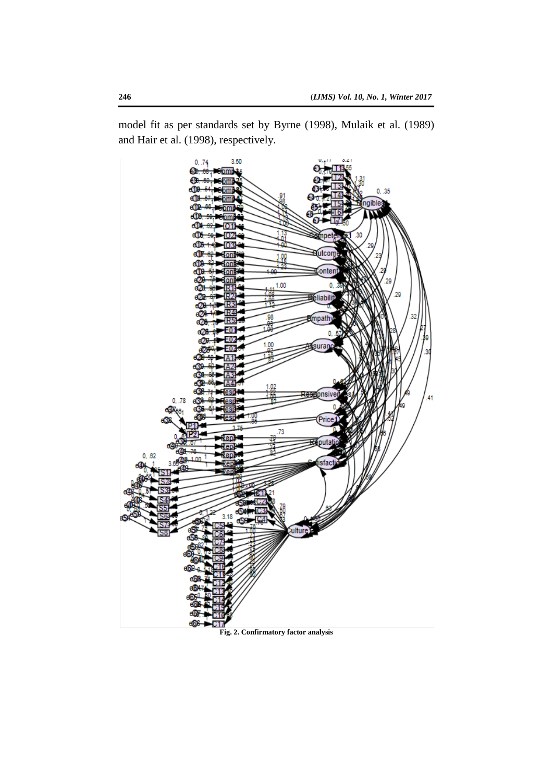model fit as per standards set by Byrne (1998), Mulaik et al. (1989) and Hair et al. (1998), respectively.



#### **Fig. 2. Confirmatory factor analysis**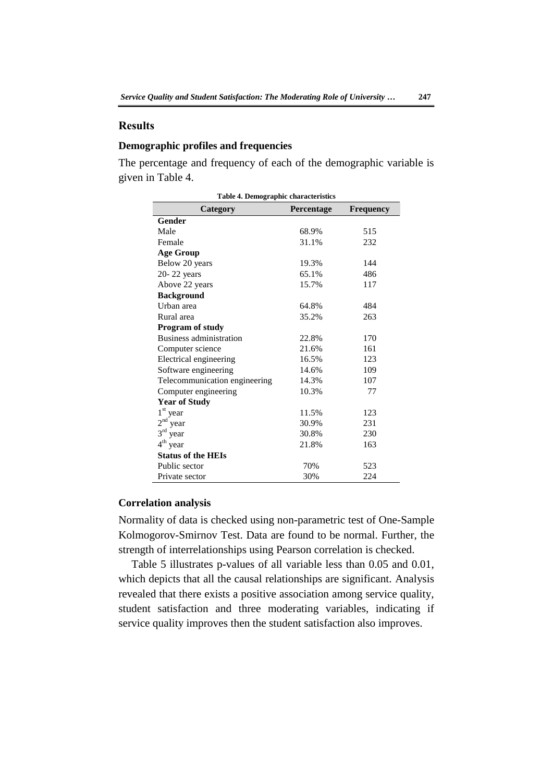#### **Results**

#### **Demographic profiles and frequencies**

The percentage and frequency of each of the demographic variable is given in Table 4.

| Table 4. Demographic characteristics |            |                  |  |  |  |  |  |
|--------------------------------------|------------|------------------|--|--|--|--|--|
| Category                             | Percentage | <b>Frequency</b> |  |  |  |  |  |
| Gender                               |            |                  |  |  |  |  |  |
| Male                                 | 68.9%      | 515              |  |  |  |  |  |
| Female                               | 31.1%      | 232              |  |  |  |  |  |
| <b>Age Group</b>                     |            |                  |  |  |  |  |  |
| Below 20 years                       | 19.3%      | 144              |  |  |  |  |  |
| 20-22 years                          | 65.1%      | 486              |  |  |  |  |  |
| Above 22 years                       | 15.7%      | 117              |  |  |  |  |  |
| <b>Background</b>                    |            |                  |  |  |  |  |  |
| Urban area                           | 64.8%      | 484              |  |  |  |  |  |
| Rural area                           | 35.2%      | 263              |  |  |  |  |  |
| Program of study                     |            |                  |  |  |  |  |  |
| <b>Business administration</b>       | 22.8%      | 170              |  |  |  |  |  |
| Computer science                     | 21.6%      | 161              |  |  |  |  |  |
| Electrical engineering               | 16.5%      | 123              |  |  |  |  |  |
| Software engineering                 | 14.6%      | 109              |  |  |  |  |  |
| Telecommunication engineering        | 14.3%      | 107              |  |  |  |  |  |
| Computer engineering                 | 10.3%      | 77               |  |  |  |  |  |
| <b>Year of Study</b>                 |            |                  |  |  |  |  |  |
| $1st$ year                           | 11.5%      | 123              |  |  |  |  |  |
| $2^{\rm nd}$<br>year                 | 30.9%      | 231              |  |  |  |  |  |
| $3^{\text{rd}}$<br>year              | 30.8%      | 230              |  |  |  |  |  |
| 4 <sup>th</sup> year                 | 21.8%      | 163              |  |  |  |  |  |
| <b>Status of the HEIs</b>            |            |                  |  |  |  |  |  |
| Public sector                        | 70%        | 523              |  |  |  |  |  |
| Private sector                       | 30%        | 224              |  |  |  |  |  |

#### **Correlation analysis**

Normality of data is checked using non-parametric test of One-Sample Kolmogorov-Smirnov Test. Data are found to be normal. Further, the strength of interrelationships using Pearson correlation is checked.

Table 5 illustrates p-values of all variable less than 0.05 and 0.01, which depicts that all the causal relationships are significant. Analysis revealed that there exists a positive association among service quality, student satisfaction and three moderating variables, indicating if service quality improves then the student satisfaction also improves.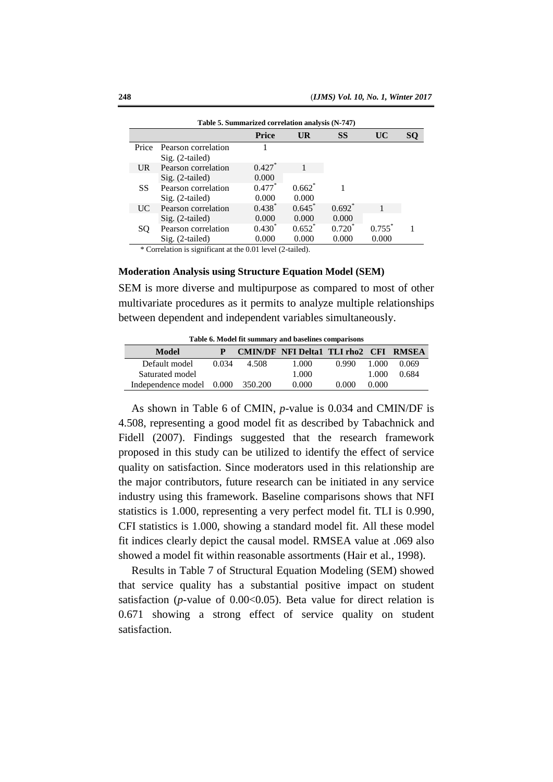| Table 5. Summarized correlation analysis (N-747) |                                                            |                   |                   |                   |                      |    |  |  |
|--------------------------------------------------|------------------------------------------------------------|-------------------|-------------------|-------------------|----------------------|----|--|--|
|                                                  |                                                            | <b>Price</b>      | UR                | SS                | <b>UC</b>            | SQ |  |  |
| Price                                            | Pearson correlation                                        |                   |                   |                   |                      |    |  |  |
|                                                  | $Sig. (2-tailed)$                                          |                   |                   |                   |                      |    |  |  |
| <b>UR</b>                                        | Pearson correlation                                        | $0.427*$          |                   |                   |                      |    |  |  |
|                                                  | $Sig. (2-tailed)$                                          | 0.000             |                   |                   |                      |    |  |  |
| <b>SS</b>                                        | Pearson correlation                                        | $0.477*$          | $0.662^{\degree}$ |                   |                      |    |  |  |
|                                                  | $Sig. (2-tailed)$                                          | 0.000             | 0.000             |                   |                      |    |  |  |
| UC                                               | Pearson correlation                                        | $0.438*$          | 0.645             | $0.692*$          | 1                    |    |  |  |
|                                                  | $Sig. (2-tailed)$                                          | 0.000             | 0.000             | 0.000             |                      |    |  |  |
| SQ                                               | Pearson correlation                                        | $0.430^{\degree}$ | $0.652^*$         | $0.720^{\degree}$ | $0.755$ <sup>*</sup> |    |  |  |
|                                                  | $Sig. (2-tailed)$                                          | 0.000             | 0.000             | 0.000             | 0.000                |    |  |  |
|                                                  | * Correlation is significant at the 0.01 level (2-tailed). |                   |                   |                   |                      |    |  |  |

**Moderation Analysis using Structure Equation Model (SEM)**

SEM is more diverse and multipurpose as compared to most of other multivariate procedures as it permits to analyze multiple relationships between dependent and independent variables simultaneously.

| Table 6. Model fit summary and baselines comparisons |
|------------------------------------------------------|
|------------------------------------------------------|

| Model                    |       |         | <b>CMIN/DF NFI Delta1 TLI rho2 CFI RMSEA</b> |       |       |       |
|--------------------------|-------|---------|----------------------------------------------|-------|-------|-------|
| Default model            | 0.034 | 4.508   | 1.000                                        | 0.990 | 1.000 | 0.069 |
| Saturated model          |       |         | 1.000                                        |       | 1.000 | 0.684 |
| Independence model 0.000 |       | 350.200 | 0.000                                        | 0.000 | 0.000 |       |

As shown in Table 6 of CMIN, *p*-value is 0.034 and CMIN/DF is 4.508, representing a good model fit as described by Tabachnick and Fidell (2007). Findings suggested that the research framework proposed in this study can be utilized to identify the effect of service quality on satisfaction. Since moderators used in this relationship are the major contributors, future research can be initiated in any service industry using this framework. Baseline comparisons shows that NFI statistics is 1.000, representing a very perfect model fit. TLI is 0.990, CFI statistics is 1.000, showing a standard model fit. All these model fit indices clearly depict the causal model. RMSEA value at .069 also showed a model fit within reasonable assortments (Hair et al., 1998).

Results in Table 7 of Structural Equation Modeling (SEM) showed that service quality has a substantial positive impact on student satisfaction ( $p$ -value of 0.00<0.05). Beta value for direct relation is 0.671 showing a strong effect of service quality on student satisfaction.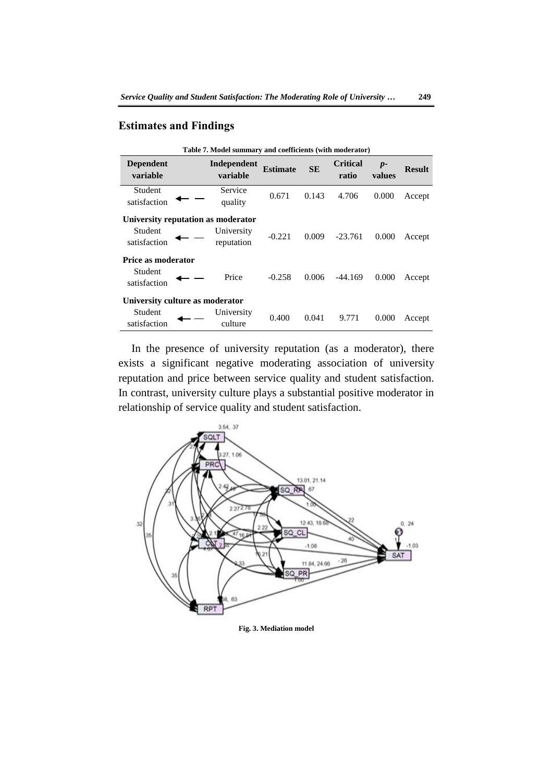# **Estimates and Findings**

| Table 7. Model summary and coefficients (with moderator) |                          |                 |           |                          |                |               |  |  |  |
|----------------------------------------------------------|--------------------------|-----------------|-----------|--------------------------|----------------|---------------|--|--|--|
| <b>Dependent</b><br>variable                             | Independent<br>variable  | <b>Estimate</b> | <b>SE</b> | <b>Critical</b><br>ratio | $p-$<br>values | <b>Result</b> |  |  |  |
| Student<br>satisfaction                                  | Service<br>quality       | 0.671           | 0.143     | 4.706                    | 0.000          | Accept        |  |  |  |
| University reputation as moderator                       |                          |                 |           |                          |                |               |  |  |  |
| Student<br>satisfaction                                  | University<br>reputation | $-0.221$        | 0.009     | $-23.761$                | 0.000          | Accept        |  |  |  |
| <b>Price as moderator</b><br>Student<br>satisfaction     | Price                    | $-0.258$        | 0.006     | -44.169                  | 0.000          | Accept        |  |  |  |
| University culture as moderator                          |                          |                 |           |                          |                |               |  |  |  |
| Student<br>satisfaction                                  | University<br>culture    | 0.400           | 0.041     | 9.771                    | 0.000          | Accept        |  |  |  |

In the presence of university reputation (as a moderator), there exists a significant negative moderating association of university reputation and price between service quality and student satisfaction. In contrast, university culture plays a substantial positive moderator in relationship of service quality and student satisfaction.



**Fig. 3. Mediation model**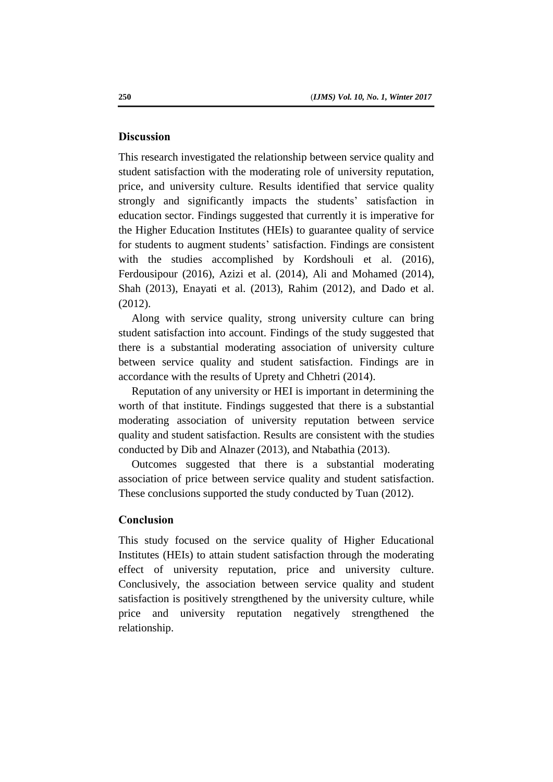# **Discussion**

This research investigated the relationship between service quality and student satisfaction with the moderating role of university reputation, price, and university culture. Results identified that service quality strongly and significantly impacts the students' satisfaction in education sector. Findings suggested that currently it is imperative for the Higher Education Institutes (HEIs) to guarantee quality of service for students to augment students' satisfaction. Findings are consistent with the studies accomplished by Kordshouli et al. (2016), Ferdousipour (2016), Azizi et al. (2014), Ali and Mohamed (2014), Shah (2013), Enayati et al. (2013), Rahim (2012), and Dado et al. (2012).

Along with service quality, strong university culture can bring student satisfaction into account. Findings of the study suggested that there is a substantial moderating association of university culture between service quality and student satisfaction. Findings are in accordance with the results of Uprety and Chhetri (2014).

Reputation of any university or HEI is important in determining the worth of that institute. Findings suggested that there is a substantial moderating association of university reputation between service quality and student satisfaction. Results are consistent with the studies conducted by Dib and Alnazer (2013), and Ntabathia (2013).

Outcomes suggested that there is a substantial moderating association of price between service quality and student satisfaction. These conclusions supported the study conducted by Tuan (2012).

#### **Conclusion**

This study focused on the service quality of Higher Educational Institutes (HEIs) to attain student satisfaction through the moderating effect of university reputation, price and university culture. Conclusively, the association between service quality and student satisfaction is positively strengthened by the university culture, while price and university reputation negatively strengthened the relationship.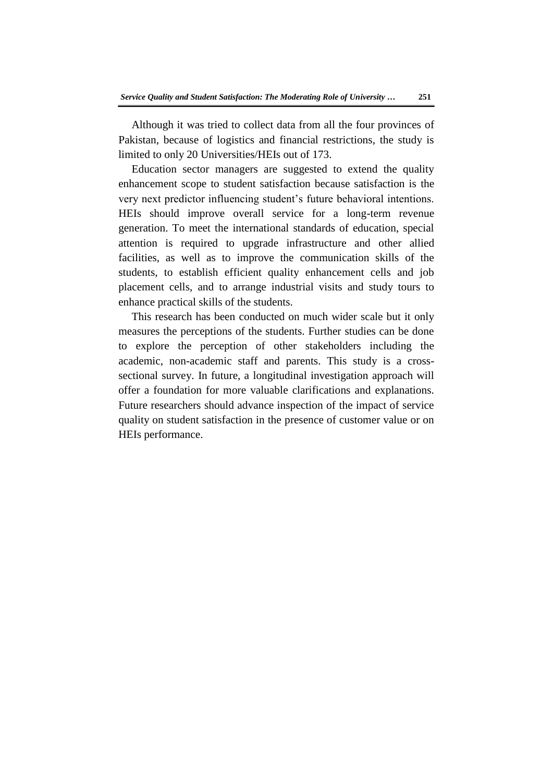Although it was tried to collect data from all the four provinces of Pakistan, because of logistics and financial restrictions, the study is limited to only 20 Universities/HEIs out of 173.

Education sector managers are suggested to extend the quality enhancement scope to student satisfaction because satisfaction is the very next predictor influencing student's future behavioral intentions. HEIs should improve overall service for a long-term revenue generation. To meet the international standards of education, special attention is required to upgrade infrastructure and other allied facilities, as well as to improve the communication skills of the students, to establish efficient quality enhancement cells and job placement cells, and to arrange industrial visits and study tours to enhance practical skills of the students.

This research has been conducted on much wider scale but it only measures the perceptions of the students. Further studies can be done to explore the perception of other stakeholders including the academic, non-academic staff and parents. This study is a crosssectional survey. In future, a longitudinal investigation approach will offer a foundation for more valuable clarifications and explanations. Future researchers should advance inspection of the impact of service quality on student satisfaction in the presence of customer value or on HEIs performance.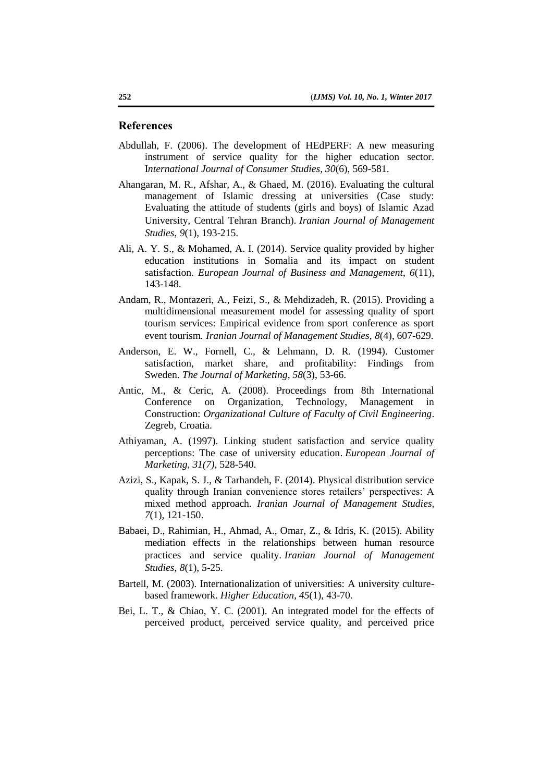#### **References**

- Abdullah, F. (2006). The development of HEdPERF: A new measuring instrument of service quality for the higher education sector. I*nternational Journal of Consumer Studies, 30*(6), 569-581.
- Ahangaran, M. R., Afshar, A., & Ghaed, M. (2016). Evaluating the cultural management of Islamic dressing at universities (Case study: Evaluating the attitude of students (girls and boys) of Islamic Azad University, Central Tehran Branch). *Iranian Journal of Management Studies*, *9*(1), 193-215.
- Ali, A. Y. S., & Mohamed, A. I. (2014). Service quality provided by higher education institutions in Somalia and its impact on student satisfaction. *European Journal of Business and Management*, *6*(11), 143-148.
- Andam, R., Montazeri, A., Feizi, S., & Mehdizadeh, R. (2015). Providing a multidimensional measurement model for assessing quality of sport tourism services: Empirical evidence from sport conference as sport event tourism*. Iranian Journal of Management Studies*, *8*(4), 607-629.
- Anderson, E. W., Fornell, C., & Lehmann, D. R. (1994). Customer satisfaction, market share, and profitability: Findings from Sweden. *The Journal of Marketing, 58*(3), 53-66.
- Antic, M., & Ceric, A. (2008). Proceedings from 8th International Conference on Organization, Technology, Management in Construction: *Organizational Culture of Faculty of Civil Engineering*. Zegreb, Croatia.
- Athiyaman, A. (1997). Linking student satisfaction and service quality perceptions: The case of university education. *European Journal of Marketing*, *31(7)*, 528-540.
- Azizi, S., Kapak, S. J., & Tarhandeh, F. (2014). Physical distribution service quality through Iranian convenience stores retailers' perspectives: A mixed method approach. *Iranian Journal of Management Studies*, *7*(1), 121-150.
- Babaei, D., Rahimian, H., Ahmad, A., Omar, Z., & Idris, K. (2015). Ability mediation effects in the relationships between human resource practices and service quality. *Iranian Journal of Management Studies*, *8*(1), 5-25.
- Bartell, M. (2003). Internationalization of universities: A university culturebased framework. *Higher Education*, *45*(1), 43-70.
- Bei, L. T., & Chiao, Y. C. (2001). An integrated model for the effects of perceived product, perceived service quality, and perceived price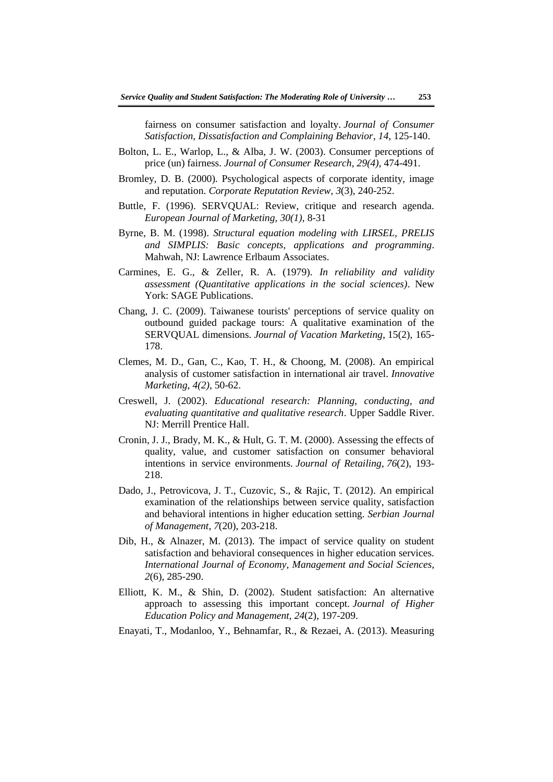fairness on consumer satisfaction and loyalty. *Journal of Consumer Satisfaction, Dissatisfaction and Complaining Behavior*, *14*, 125-140.

- Bolton, L. E., Warlop, L., & Alba, J. W. (2003). Consumer perceptions of price (un) fairness. *Journal of Consumer Research*, *29(4)*, 474-491.
- Bromley, D. B. (2000). Psychological aspects of corporate identity, image and reputation. *Corporate Reputation Review*, *3*(3), 240-252.
- Buttle, F. (1996). SERVQUAL: Review, critique and research agenda. *European Journal of Marketing*, *30(1)*, 8-31
- Byrne, B. M. (1998). *Structural equation modeling with LIRSEL, PRELIS and SIMPLIS: Basic concepts, applications and programming*. Mahwah, NJ: Lawrence Erlbaum Associates.
- Carmines, E. G., & Zeller, R. A. (1979). *In reliability and validity assessment (Quantitative applications in the social sciences)*. New York: SAGE Publications.
- Chang, J. C. (2009). Taiwanese tourists' perceptions of service quality on outbound guided package tours: A qualitative examination of the SERVQUAL dimensions. *Journal of Vacation Marketing*, 15(2), 165- 178.
- Clemes, M. D., Gan, C., Kao, T. H., & Choong, M. (2008). An empirical analysis of customer satisfaction in international air travel. *Innovative Marketing*, *4(2)*, 50-62.
- Creswell, J. (2002). *Educational research: Planning, conducting, and evaluating quantitative and qualitative research*. Upper Saddle River. NJ: Merrill Prentice Hall.
- Cronin, J. J., Brady, M. K., & Hult, G. T. M. (2000). Assessing the effects of quality, value, and customer satisfaction on consumer behavioral intentions in service environments. *Journal of Retailing*, *76*(2), 193- 218.
- Dado, J., Petrovicova, J. T., Cuzovic, S., & Rajic, T. (2012). An empirical examination of the relationships between service quality, satisfaction and behavioral intentions in higher education setting. *Serbian Journal of Management*, *7*(20), 203-218.
- Dib, H., & Alnazer, M. (2013). The impact of service quality on student satisfaction and behavioral consequences in higher education services. *International Journal of Economy, Management and Social Sciences*, *2*(6), 285-290.
- Elliott, K. M., & Shin, D. (2002). Student satisfaction: An alternative approach to assessing this important concept. *Journal of Higher Education Policy and Management*, *24*(2), 197-209.
- Enayati, T., Modanloo, Y., Behnamfar, R., & Rezaei, A. (2013). Measuring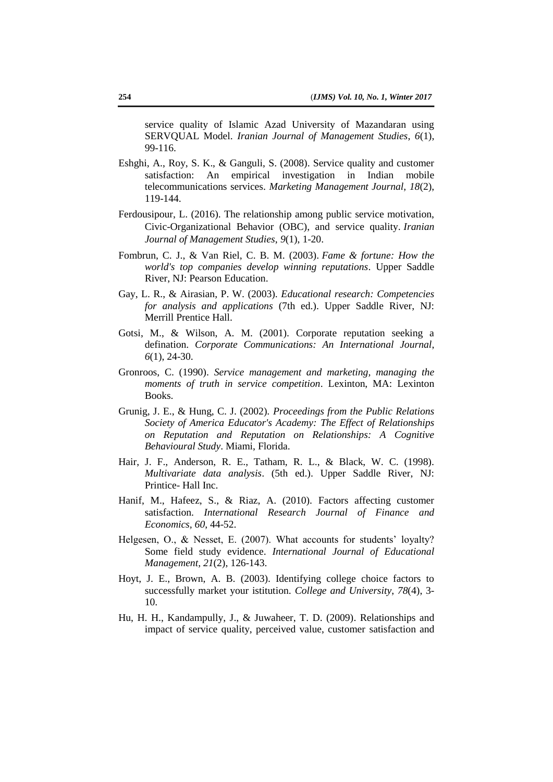service quality of Islamic Azad University of Mazandaran using SERVQUAL Model. *Iranian Journal of Management Studies*, *6*(1), 99-116.

- Eshghi, A., Roy, S. K., & Ganguli, S. (2008). Service quality and customer satisfaction: An empirical investigation in Indian mobile telecommunications services. *Marketing Management Journal*, *18*(2), 119-144.
- Ferdousipour, L. (2016). The relationship among public service motivation, Civic-Organizational Behavior (OBC), and service quality. *Iranian Journal of Management Studies*, *9*(1), 1-20.
- Fombrun, C. J., & Van Riel, C. B. M. (2003). *Fame & fortune: How the world's top companies develop winning reputations*. Upper Saddle River, NJ: Pearson Education.
- Gay, L. R., & Airasian, P. W. (2003). *Educational research: Competencies for analysis and applications* (7th ed.). Upper Saddle River, NJ: Merrill Prentice Hall.
- Gotsi, M., & Wilson, A. M. (2001). Corporate reputation seeking a defination. *Corporate Communications: An International Journal*, *6*(1), 24-30.
- Gronroos, C. (1990). *Service management and marketing, managing the moments of truth in service competition*. Lexinton, MA: Lexinton Books.
- Grunig, J. E., & Hung, C. J. (2002). *Proceedings from the Public Relations Society of America Educator's Academy: The Effect of Relationships on Reputation and Reputation on Relationships: A Cognitive Behavioural Study*. Miami, Florida.
- Hair, J. F., Anderson, R. E., Tatham, R. L., & Black, W. C. (1998). *Multivariate data analysis*. (5th ed.). Upper Saddle River, NJ: Printice- Hall Inc.
- Hanif, M., Hafeez, S., & Riaz, A. (2010). Factors affecting customer satisfaction. *International Research Journal of Finance and Economics, 60*, 44-52.
- Helgesen, O., & Nesset, E. (2007). What accounts for students' loyalty? Some field study evidence. *International Journal of Educational Management, 21*(2), 126-143.
- Hoyt, J. E., Brown, A. B. (2003). Identifying college choice factors to successfully market your istitution. *College and University*, *78*(4), 3- 10.
- Hu, H. H., Kandampully, J., & Juwaheer, T. D. (2009). Relationships and impact of service quality, perceived value, customer satisfaction and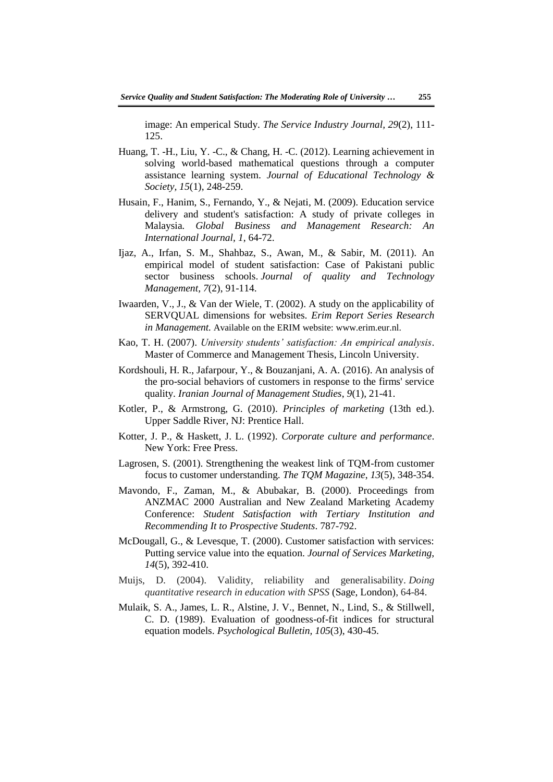image: An emperical Study. *The Service Industry Journal, 29*(2), 111- 125.

- Huang, T. -H., Liu, Y. -C., & Chang, H. -C. (2012). Learning achievement in solving world-based mathematical questions through a computer assistance learning system. *Journal of Educational Technology & Society, 15*(1), 248-259.
- Husain, F., Hanim, S., Fernando, Y., & Nejati, M. (2009). Education service delivery and student's satisfaction: A study of private colleges in Malaysia*. Global Business and Management Research: An International Journal, 1*, 64-72.
- Ijaz, A., Irfan, S. M., Shahbaz, S., Awan, M., & Sabir, M. (2011). An empirical model of student satisfaction: Case of Pakistani public sector business schools. *Journal of quality and Technology Management, 7*(2), 91-114.
- Iwaarden, V., J., & Van der Wiele, T. (2002). A study on the applicability of SERVQUAL dimensions for websites. *Erim Report Series Research in Management.* Available on the ERIM website: www.erim.eur.nl.
- Kao, T. H. (2007). *University students' satisfaction: An empirical analysis*. Master of Commerce and Management Thesis, Lincoln University.
- Kordshouli, H. R., Jafarpour, Y., & Bouzanjani, A. A. (2016). An analysis of the pro-social behaviors of customers in response to the firms' service quality. *Iranian Journal of Management Studies*, *9*(1), 21-41.
- Kotler, P., & Armstrong, G. (2010). *Principles of marketing* (13th ed.). Upper Saddle River, NJ: Prentice Hall.
- Kotter, J. P., & Haskett, J. L. (1992). *Corporate culture and performance*. New York: Free Press.
- Lagrosen, S. (2001). Strengthening the weakest link of TQM-from customer focus to customer understanding. *The TQM Magazine*, *13*(5), 348-354.
- Mavondo, F., Zaman, M., & Abubakar, B. (2000). Proceedings from ANZMAC 2000 Australian and New Zealand Marketing Academy Conference: *Student Satisfaction with Tertiary Institution and Recommending It to Prospective Students*. 787-792.
- McDougall, G., & Levesque, T. (2000). Customer satisfaction with services: Putting service value into the equation. *Journal of Services Marketing, 14*(5), 392-410.
- Muijs, D. (2004). Validity, reliability and generalisability. *Doing quantitative research in education with SPSS* (Sage, London), 64-84.
- Mulaik, S. A., James, L. R., Alstine, J. V., Bennet, N., Lind, S., & Stillwell, C. D. (1989). Evaluation of goodness-of-fit indices for structural equation models. *Psychological Bulletin, 105*(3), 430-45.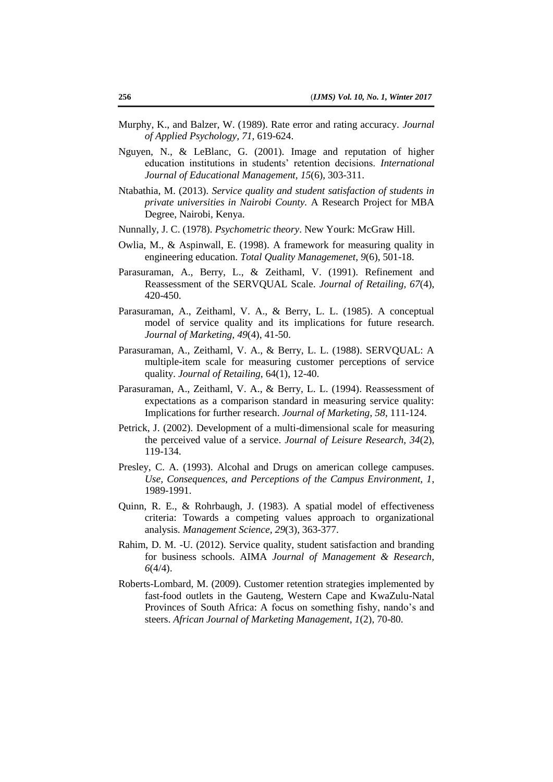- Murphy, K., and Balzer, W. (1989). Rate error and rating accuracy. *Journal of Applied Psychology, 71*, 619-624.
- Nguyen, N., & LeBlanc, G. (2001). Image and reputation of higher education institutions in students' retention decisions. *International Journal of Educational Management, 15*(6), 303-311.
- Ntabathia, M. (2013). *Service quality and student satisfaction of students in private universities in Nairobi County.* A Research Project for MBA Degree, Nairobi, Kenya.
- Nunnally, J. C. (1978). *Psychometric theory*. New Yourk: McGraw Hill.
- Owlia, M., & Aspinwall, E. (1998). A framework for measuring quality in engineering education. *Total Quality Managemenet, 9*(6), 501-18.
- Parasuraman, A., Berry, L., & Zeithaml, V. (1991). Refinement and Reassessment of the SERVQUAL Scale. *Journal of Retailing, 67*(4), 420-450.
- Parasuraman, A., Zeithaml, V. A., & Berry, L. L. (1985). A conceptual model of service quality and its implications for future research. *Journal of Marketing, 49*(4), 41-50.
- Parasuraman, A., Zeithaml, V. A., & Berry, L. L. (1988). SERVQUAL: A multiple-item scale for measuring customer perceptions of service quality. *Journal of Retailing*, 64(1), 12-40.
- Parasuraman, A., Zeithaml, V. A., & Berry, L. L. (1994). Reassessment of expectations as a comparison standard in measuring service quality: Implications for further research. *Journal of Marketing*, *58*, 111-124.
- Petrick, J. (2002). Development of a multi-dimensional scale for measuring the perceived value of a service. *Journal of Leisure Research, 34*(2), 119-134.
- Presley, C. A. (1993). Alcohal and Drugs on american college campuses. *Use, Consequences, and Perceptions of the Campus Environment, 1*, 1989-1991.
- Quinn, R. E., & Rohrbaugh, J. (1983). A spatial model of effectiveness criteria: Towards a competing values approach to organizational analysis. *Management Science, 29*(3), 363-377.
- Rahim, D. M. -U. (2012). Service quality, student satisfaction and branding for business schools. AIMA *Journal of Management & Research, 6*(4/4).
- Roberts-Lombard, M. (2009). Customer retention strategies implemented by fast-food outlets in the Gauteng, Western Cape and KwaZulu-Natal Provinces of South Africa: A focus on something fishy, nando's and steers. *African Journal of Marketing Management, 1*(2), 70-80.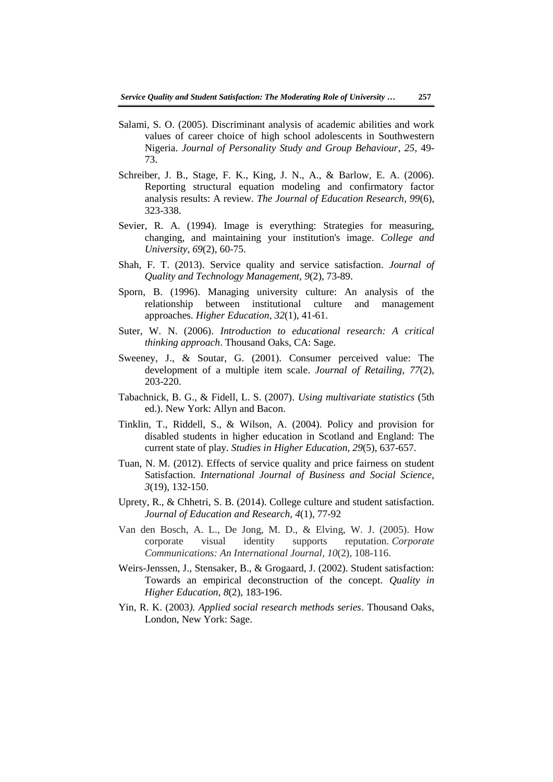- Salami, S. O. (2005). Discriminant analysis of academic abilities and work values of career choice of high school adolescents in Southwestern Nigeria. *Journal of Personality Study and Group Behaviour*, *25*, 49- 73.
- Schreiber, J. B., Stage, F. K., King, J. N., A., & Barlow, E. A. (2006). Reporting structural equation modeling and confirmatory factor analysis results: A review*. The Journal of Education Research, 99*(6), 323-338.
- Sevier, R. A. (1994). Image is everything: Strategies for measuring, changing, and maintaining your institution's image. *College and University, 69*(2), 60-75.
- Shah, F. T. (2013). Service quality and service satisfaction. *Journal of Quality and Technology Management, 9*(2), 73-89.
- Sporn, B. (1996). Managing university culture: An analysis of the relationship between institutional culture and management approaches. *Higher Education, 32*(1), 41-61.
- Suter, W. N. (2006). *Introduction to educational research: A critical thinking approach*. Thousand Oaks, CA: Sage.
- Sweeney, J., & Soutar, G. (2001). Consumer perceived value: The development of a multiple item scale. *Journal of Retailing*, *77*(2), 203-220.
- Tabachnick, B. G., & Fidell, L. S. (2007). *Using multivariate statistics* (5th ed.). New York: Allyn and Bacon.
- Tinklin, T., Riddell, S., & Wilson, A. (2004). Policy and provision for disabled students in higher education in Scotland and England: The current state of play. *Studies in Higher Education, 29*(5), 637-657.
- Tuan, N. M. (2012). Effects of service quality and price fairness on student Satisfaction. *International Journal of Business and Social Science, 3*(19), 132-150.
- Uprety, R., & Chhetri, S. B. (2014). College culture and student satisfaction. *Journal of Education and Research, 4*(1), 77-92
- Van den Bosch, A. L., De Jong, M. D., & Elving, W. J. (2005). How corporate visual identity supports reputation. *Corporate Communications: An International Journal*, *10*(2), 108-116.
- Weirs-Jenssen, J., Stensaker, B., & Grogaard, J. (2002). Student satisfaction: Towards an empirical deconstruction of the concept. *Quality in Higher Education*, *8*(2), 183-196.
- Yin, R. K. (2003*). Applied social research methods series*. Thousand Oaks, London, New York: Sage.